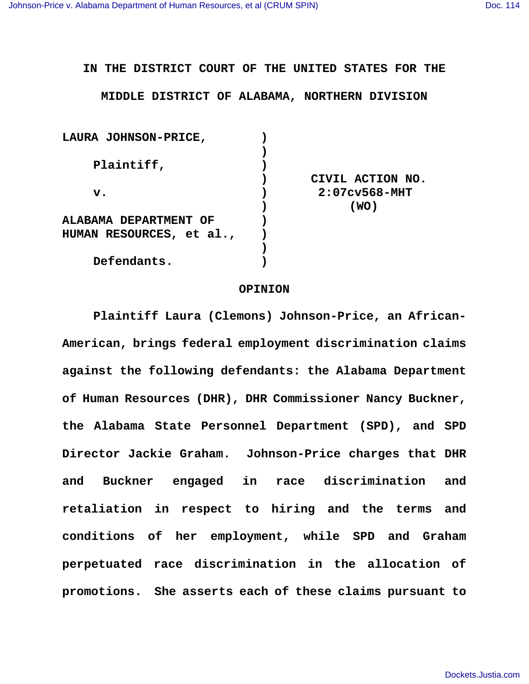**IN THE DISTRICT COURT OF THE UNITED STATES FOR THE**

**MIDDLE DISTRICT OF ALABAMA, NORTHERN DIVISION**

| <b>LAURA JOHNSON-PRICE,</b> |                  |
|-----------------------------|------------------|
|                             |                  |
| Plaintiff,                  |                  |
|                             | CIVIL ACTION NO. |
| $\mathbf v$ .               | $2:07c$ v568-MHT |
|                             | (WO)             |
| ALABAMA DEPARTMENT OF       |                  |
| HUMAN RESOURCES, et al.,    |                  |
|                             |                  |
| Defendants.                 |                  |
|                             |                  |

### **OPINION**

**Plaintiff Laura (Clemons) Johnson-Price, an African-American, brings federal employment discrimination claims against the following defendants: the Alabama Department of Human Resources (DHR), DHR Commissioner Nancy Buckner, the Alabama State Personnel Department (SPD), and SPD Director Jackie Graham. Johnson-Price charges that DHR and Buckner engaged in race discrimination and retaliation in respect to hiring and the terms and conditions of her employment, while SPD and Graham perpetuated race discrimination in the allocation of promotions. She asserts each of these claims pursuant to**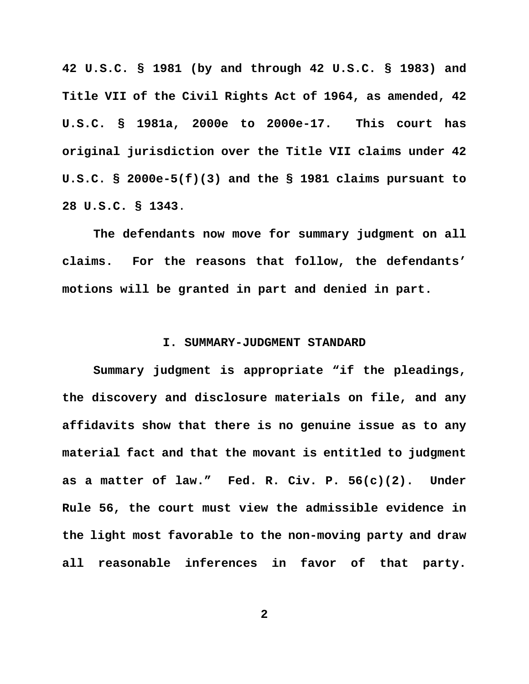**42 U.S.C. § 1981 (by and through 42 U.S.C. § 1983) and Title VII of the Civil Rights Act of 1964, as amended, 42 U.S.C. § 1981a, 2000e to 2000e-17. This court has original jurisdiction over the Title VII claims under 42 U.S.C. § 2000e-5(f)(3) and the § 1981 claims pursuant to 28 U.S.C. § 1343**.

**The defendants now move for summary judgment on all claims. For the reasons that follow, the defendants' motions will be granted in part and denied in part.**

# **I. SUMMARY-JUDGMENT STANDARD**

**Summary judgment is appropriate "if the pleadings, the discovery and disclosure materials on file, and any affidavits show that there is no genuine issue as to any material fact and that the movant is entitled to judgment as a matter of law." Fed. R. Civ. P. 56(c)(2). Under Rule 56, the court must view the admissible evidence in the light most favorable to the non-moving party and draw all reasonable inferences in favor of that party.**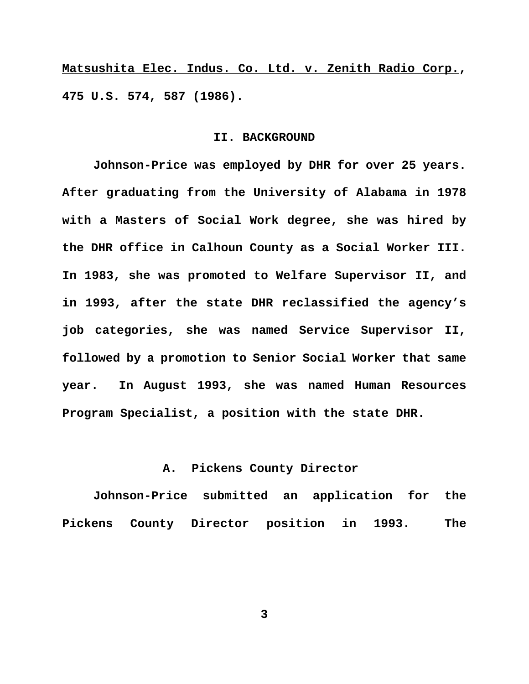**Matsushita Elec. Indus. Co. Ltd. v. Zenith Radio Corp., 475 U.S. 574, 587 (1986).**

#### **II. BACKGROUND**

**Johnson-Price was employed by DHR for over 25 years. After graduating from the University of Alabama in 1978 with a Masters of Social Work degree, she was hired by the DHR office in Calhoun County as a Social Worker III. In 1983, she was promoted to Welfare Supervisor II, and in 1993, after the state DHR reclassified the agency's job categories, she was named Service Supervisor II, followed by a promotion to Senior Social Worker that same year. In August 1993, she was named Human Resources Program Specialist, a position with the state DHR.**

## **A. Pickens County Director**

**Johnson-Price submitted an application for the Pickens County Director position in 1993. The**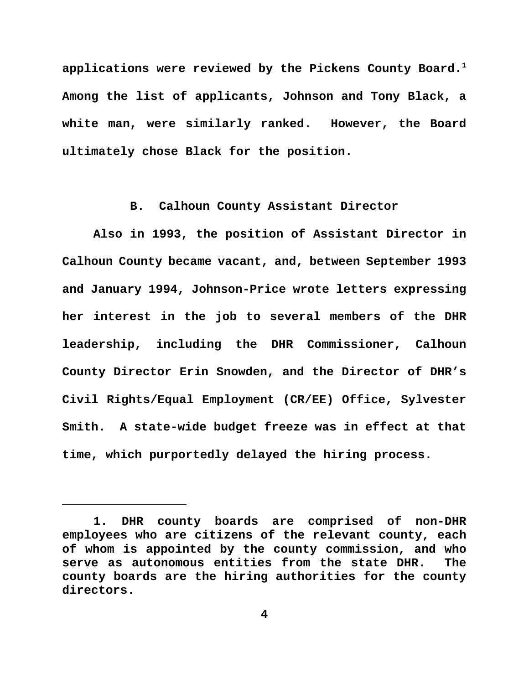**applications were reviewed by the Pickens County Board.<sup>1</sup> Among the list of applicants, Johnson and Tony Black, a white man, were similarly ranked. However, the Board ultimately chose Black for the position.** 

# **B. Calhoun County Assistant Director**

**Also in 1993, the position of Assistant Director in Calhoun County became vacant, and, between September 1993 and January 1994, Johnson-Price wrote letters expressing her interest in the job to several members of the DHR leadership, including the DHR Commissioner, Calhoun County Director Erin Snowden, and the Director of DHR's Civil Rights/Equal Employment (CR/EE) Office, Sylvester Smith. A state-wide budget freeze was in effect at that time, which purportedly delayed the hiring process.** 

**<sup>1.</sup> DHR county boards are comprised of non-DHR employees who are citizens of the relevant county, each of whom is appointed by the county commission, and who serve as autonomous entities from the state DHR. The county boards are the hiring authorities for the county directors.**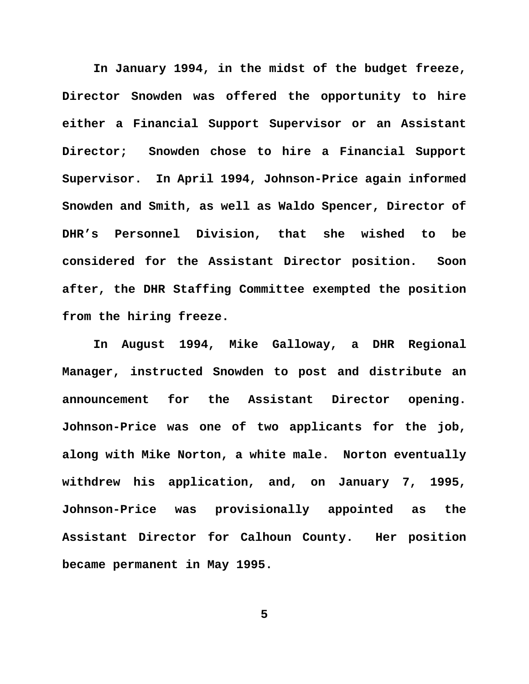**In January 1994, in the midst of the budget freeze, Director Snowden was offered the opportunity to hire either a Financial Support Supervisor or an Assistant Director; Snowden chose to hire a Financial Support Supervisor. In April 1994, Johnson-Price again informed Snowden and Smith, as well as Waldo Spencer, Director of DHR's Personnel Division, that she wished to be considered for the Assistant Director position. Soon after, the DHR Staffing Committee exempted the position from the hiring freeze.** 

**In August 1994, Mike Galloway, a DHR Regional Manager, instructed Snowden to post and distribute an announcement for the Assistant Director opening. Johnson-Price was one of two applicants for the job, along with Mike Norton, a white male. Norton eventually withdrew his application, and, on January 7, 1995, Johnson-Price was provisionally appointed as the Assistant Director for Calhoun County. Her position became permanent in May 1995.**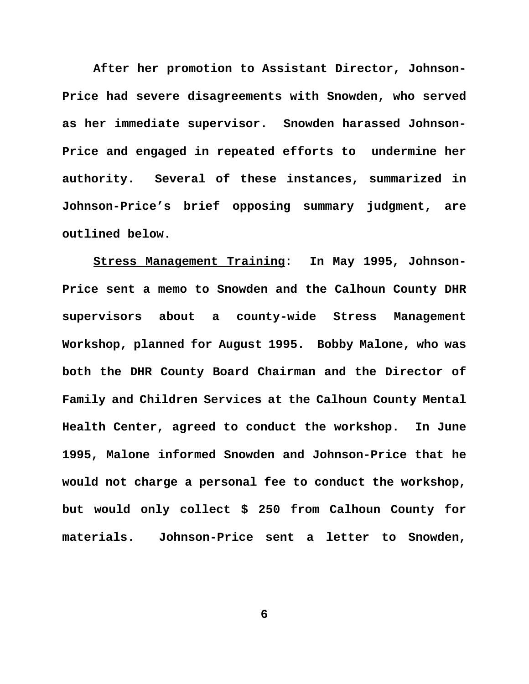**After her promotion to Assistant Director, Johnson-Price had severe disagreements with Snowden, who served as her immediate supervisor. Snowden harassed Johnson-Price and engaged in repeated efforts to undermine her authority. Several of these instances, summarized in Johnson-Price's brief opposing summary judgment, are outlined below.**

**Stress Management Training**: **In May 1995, Johnson-Price sent a memo to Snowden and the Calhoun County DHR supervisors about a county-wide Stress Management Workshop, planned for August 1995. Bobby Malone, who was both the DHR County Board Chairman and the Director of Family and Children Services at the Calhoun County Mental Health Center, agreed to conduct the workshop. In June 1995, Malone informed Snowden and Johnson-Price that he would not charge a personal fee to conduct the workshop, but would only collect \$ 250 from Calhoun County for materials. Johnson-Price sent a letter to Snowden,**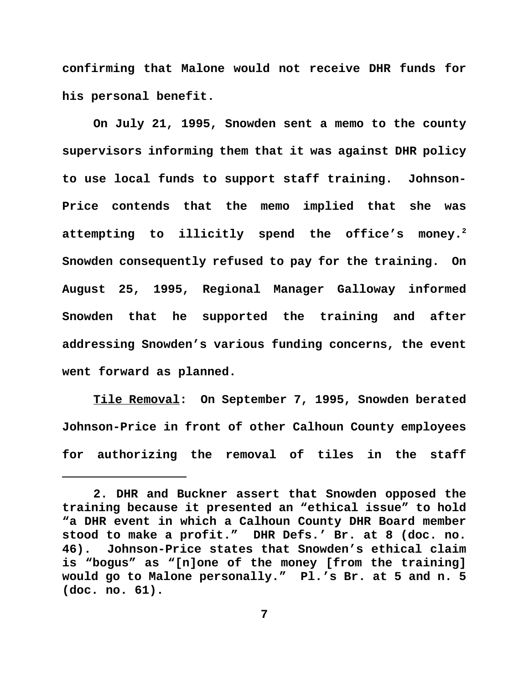**confirming that Malone would not receive DHR funds for his personal benefit.** 

**On July 21, 1995, Snowden sent a memo to the county supervisors informing them that it was against DHR policy to use local funds to support staff training. Johnson-Price contends that the memo implied that she was attempting to illicitly spend the office's money.<sup>2</sup> Snowden consequently refused to pay for the training. On August 25, 1995, Regional Manager Galloway informed Snowden that he supported the training and after addressing Snowden's various funding concerns, the event went forward as planned.**

**Tile Removal: On September 7, 1995, Snowden berated Johnson-Price in front of other Calhoun County employees for authorizing the removal of tiles in the staff**

**<sup>2.</sup> DHR and Buckner assert that Snowden opposed the training because it presented an "ethical issue" to hold "a DHR event in which a Calhoun County DHR Board member stood to make a profit." DHR Defs.' Br. at 8 (doc. no. 46). Johnson-Price states that Snowden's ethical claim is "bogus" as "[n]one of the money [from the training] would go to Malone personally." Pl.'s Br. at 5 and n. 5 (doc. no. 61).**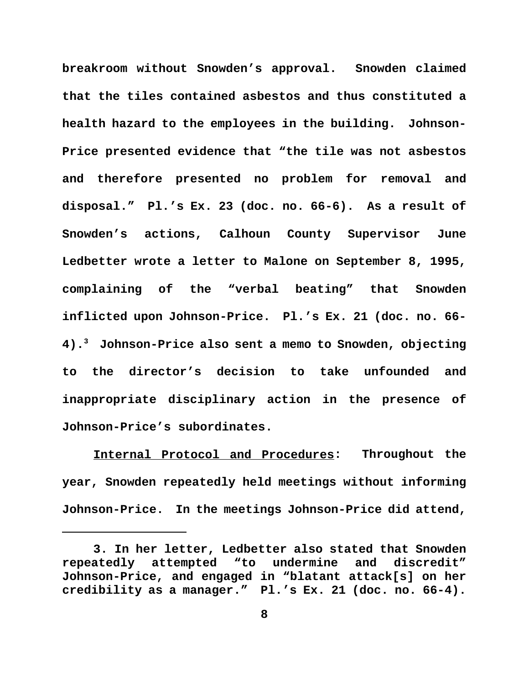**breakroom without Snowden's approval. Snowden claimed that the tiles contained asbestos and thus constituted a health hazard to the employees in the building. Johnson-Price presented evidence that "the tile was not asbestos and therefore presented no problem for removal and disposal." Pl.'s Ex. 23 (doc. no. 66-6). As a result of Snowden's actions, Calhoun County Supervisor June Ledbetter wrote a letter to Malone on September 8, 1995, complaining of the "verbal beating" that Snowden inflicted upon Johnson-Price. Pl.'s Ex. 21 (doc. no. 66- 4).<sup>3</sup> Johnson-Price also sent a memo to Snowden, objecting to the director's decision to take unfounded and inappropriate disciplinary action in the presence of Johnson-Price's subordinates.** 

**Internal Protocol and Procedures: Throughout the year, Snowden repeatedly held meetings without informing Johnson-Price. In the meetings Johnson-Price did attend,**

**<sup>3.</sup> In her letter, Ledbetter also stated that Snowden repeatedly attempted "to undermine and discredit" Johnson-Price, and engaged in "blatant attack[s] on her credibility as a manager." Pl.'s Ex. 21 (doc. no. 66-4).**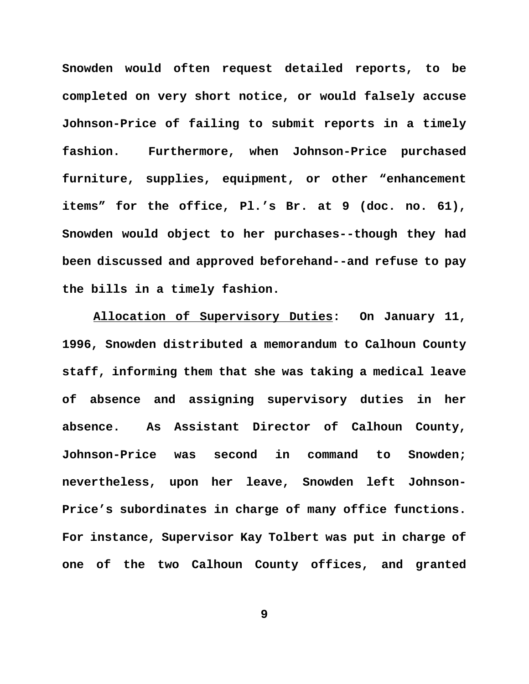**Snowden would often request detailed reports, to be completed on very short notice, or would falsely accuse Johnson-Price of failing to submit reports in a timely fashion. Furthermore, when Johnson-Price purchased furniture, supplies, equipment, or other "enhancement items" for the office, Pl.'s Br. at 9 (doc. no. 61), Snowden would object to her purchases--though they had been discussed and approved beforehand--and refuse to pay the bills in a timely fashion.** 

**Allocation of Supervisory Duties: On January 11, 1996, Snowden distributed a memorandum to Calhoun County staff, informing them that she was taking a medical leave of absence and assigning supervisory duties in her absence. As Assistant Director of Calhoun County, Johnson-Price was second in command to Snowden; nevertheless, upon her leave, Snowden left Johnson-Price's subordinates in charge of many office functions. For instance, Supervisor Kay Tolbert was put in charge of one of the two Calhoun County offices, and granted**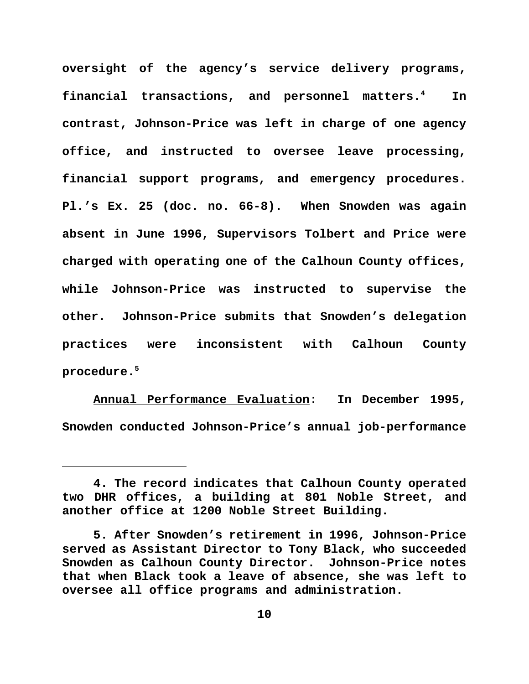**oversight of the agency's service delivery programs, financial transactions, and personnel matters.<sup>4</sup> In contrast, Johnson-Price was left in charge of one agency office, and instructed to oversee leave processing, financial support programs, and emergency procedures. Pl.'s Ex. 25 (doc. no. 66-8). When Snowden was again absent in June 1996, Supervisors Tolbert and Price were charged with operating one of the Calhoun County offices, while Johnson-Price was instructed to supervise the other. Johnson-Price submits that Snowden's delegation practices were inconsistent with Calhoun County procedure.<sup>5</sup>**

**Annual Performance Evaluation**: **In December 1995, Snowden conducted Johnson-Price's annual job-performance**

**<sup>4.</sup> The record indicates that Calhoun County operated two DHR offices, a building at 801 Noble Street, and another office at 1200 Noble Street Building.** 

**<sup>5.</sup> After Snowden's retirement in 1996, Johnson-Price served as Assistant Director to Tony Black, who succeeded Snowden as Calhoun County Director. Johnson-Price notes that when Black took a leave of absence, she was left to oversee all office programs and administration.**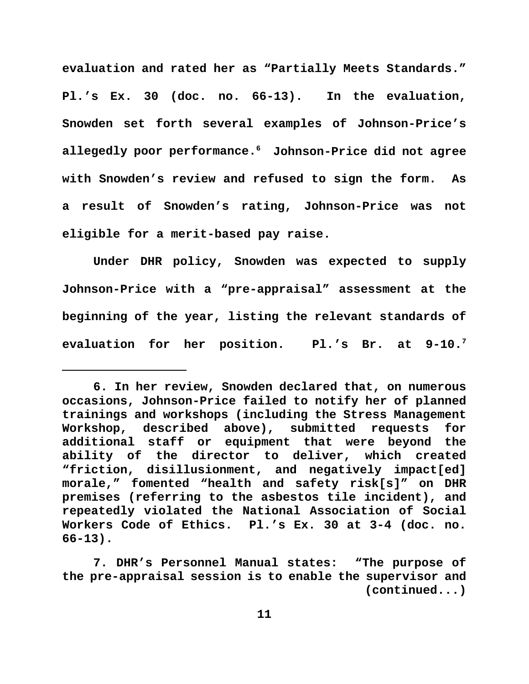**evaluation and rated her as "Partially Meets Standards." Pl.'s Ex. 30 (doc. no. 66-13). In the evaluation, Snowden set forth several examples of Johnson-Price's allegedly poor performance.<sup>6</sup> Johnson-Price did not agree with Snowden's review and refused to sign the form. As a result of Snowden's rating, Johnson-Price was not eligible for a merit-based pay raise.** 

**Under DHR policy, Snowden was expected to supply Johnson-Price with a "pre-appraisal" assessment at the beginning of the year, listing the relevant standards of evaluation for her position. Pl.'s Br. at 9-10.7**

**<sup>6.</sup> In her review, Snowden declared that, on numerous occasions, Johnson-Price failed to notify her of planned trainings and workshops (including the Stress Management Workshop, described above), submitted requests for additional staff or equipment that were beyond the ability of the director to deliver, which created "friction, disillusionment, and negatively impact[ed] morale," fomented "health and safety risk[s]" on DHR premises (referring to the asbestos tile incident), and repeatedly violated the National Association of Social Workers Code of Ethics. Pl.'s Ex. 30 at 3-4 (doc. no. 66-13).** 

**<sup>7.</sup> DHR's Personnel Manual states: "The purpose of the pre-appraisal session is to enable the supervisor and (continued...)**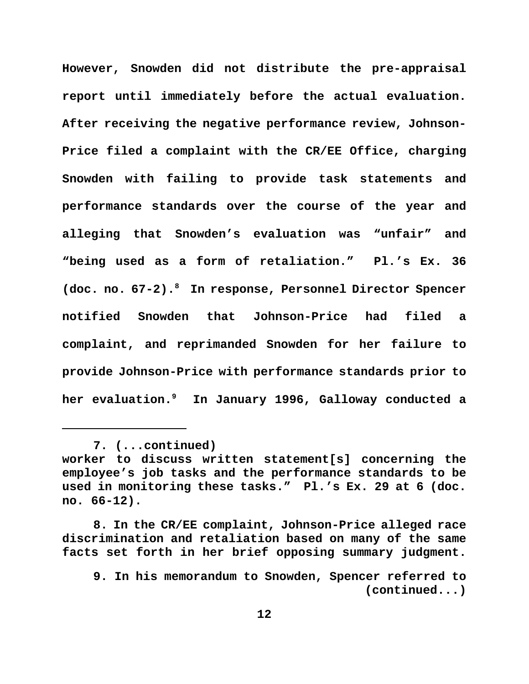**However, Snowden did not distribute the pre-appraisal report until immediately before the actual evaluation. After receiving the negative performance review, Johnson-Price filed a complaint with the CR/EE Office, charging Snowden with failing to provide task statements and performance standards over the course of the year and alleging that Snowden's evaluation was "unfair" and "being used as a form of retaliation." Pl.'s Ex. 36 (doc. no. 67-2).<sup>8</sup> In response, Personnel Director Spencer notified Snowden that Johnson-Price had filed a complaint, and reprimanded Snowden for her failure to provide Johnson-Price with performance standards prior to her evaluation.9 In January 1996, Galloway conducted a**

**<sup>7. (...</sup>continued)**

**worker to discuss written statement[s] concerning the employee's job tasks and the performance standards to be used in monitoring these tasks." Pl.'s Ex. 29 at 6 (doc. no. 66-12).**

**<sup>8.</sup> In the CR/EE complaint, Johnson-Price alleged race discrimination and retaliation based on many of the same facts set forth in her brief opposing summary judgment.**

**<sup>9.</sup> In his memorandum to Snowden, Spencer referred to (continued...)**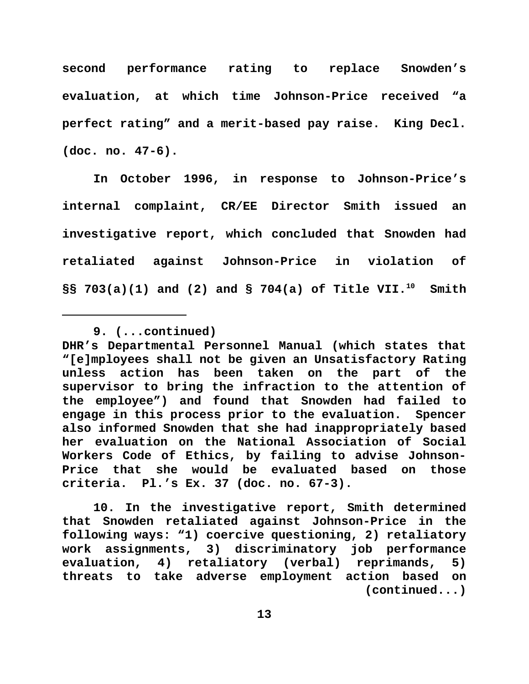**second performance rating to replace Snowden's evaluation, at which time Johnson-Price received "a perfect rating" and a merit-based pay raise. King Decl. (doc. no. 47-6).**

**In October 1996, in response to Johnson-Price's internal complaint, CR/EE Director Smith issued an investigative report, which concluded that Snowden had retaliated against Johnson-Price in violation of §§ 703(a)(1) and (2) and § 704(a) of Title VII.10 Smith**

**DHR's Departmental Personnel Manual (which states that "[e]mployees shall not be given an Unsatisfactory Rating unless action has been taken on the part of the supervisor to bring the infraction to the attention of the employee") and found that Snowden had failed to engage in this process prior to the evaluation. Spencer also informed Snowden that she had inappropriately based her evaluation on the National Association of Social Workers Code of Ethics, by failing to advise Johnson-Price that she would be evaluated based on those criteria. Pl.'s Ex. 37 (doc. no. 67-3).** 

**10. In the investigative report, Smith determined that Snowden retaliated against Johnson-Price in the following ways: "1) coercive questioning, 2) retaliatory work assignments, 3) discriminatory job performance evaluation, 4) retaliatory (verbal) reprimands, 5) threats to take adverse employment action based on (continued...)**

**<sup>9. (...</sup>continued)**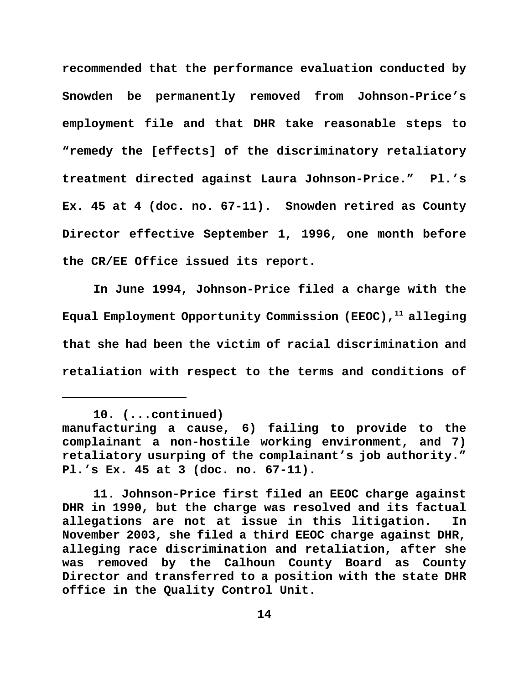**recommended that the performance evaluation conducted by Snowden be permanently removed from Johnson-Price's employment file and that DHR take reasonable steps to "remedy the [effects] of the discriminatory retaliatory treatment directed against Laura Johnson-Price." Pl.'s Ex. 45 at 4 (doc. no. 67-11). Snowden retired as County Director effective September 1, 1996, one month before the CR/EE Office issued its report.** 

**In June 1994, Johnson-Price filed a charge with the Equal Employment Opportunity Commission (EEOC),<sup>11</sup> alleging that she had been the victim of racial discrimination and retaliation with respect to the terms and conditions of**

**<sup>10. (...</sup>continued)**

**manufacturing a cause, 6) failing to provide to the complainant a non-hostile working environment, and 7) retaliatory usurping of the complainant's job authority." Pl.'s Ex. 45 at 3 (doc. no. 67-11).** 

**<sup>11.</sup> Johnson-Price first filed an EEOC charge against DHR in 1990, but the charge was resolved and its factual allegations are not at issue in this litigation. In November 2003, she filed a third EEOC charge against DHR, alleging race discrimination and retaliation, after she was removed by the Calhoun County Board as County Director and transferred to a position with the state DHR office in the Quality Control Unit.**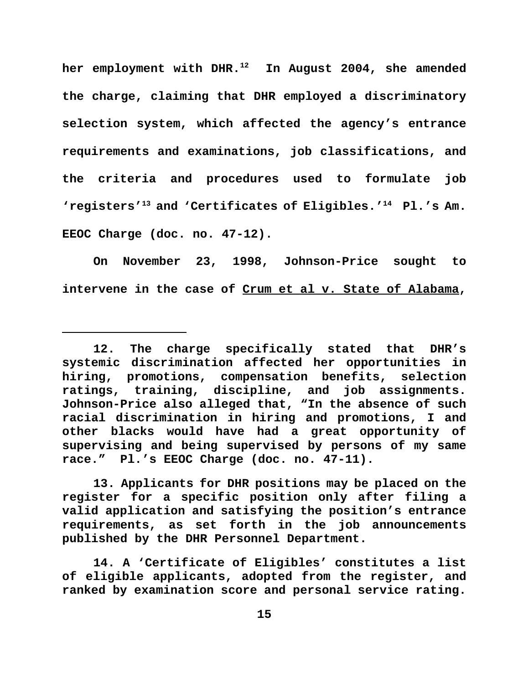**her employment with DHR.<sup>12</sup> In August 2004, she amended the charge, claiming that DHR employed a discriminatory selection system, which affected the agency's entrance requirements and examinations, job classifications, and the criteria and procedures used to formulate job 'registers'<sup>13</sup> and 'Certificates of Eligibles.'<sup>14</sup> Pl.'s Am. EEOC Charge (doc. no. 47-12).** 

**On November 23, 1998, Johnson-Price sought to intervene in the case of Crum et al v. State of Alabama,**

**13. Applicants for DHR positions may be placed on the register for a specific position only after filing a valid application and satisfying the position's entrance requirements, as set forth in the job announcements published by the DHR Personnel Department.**

**14. A 'Certificate of Eligibles' constitutes a list of eligible applicants, adopted from the register, and ranked by examination score and personal service rating.**

**<sup>12.</sup> The charge specifically stated that DHR's systemic discrimination affected her opportunities in hiring, promotions, compensation benefits, selection ratings, training, discipline, and job assignments. Johnson-Price also alleged that, "In the absence of such racial discrimination in hiring and promotions, I and other blacks would have had a great opportunity of supervising and being supervised by persons of my same race." Pl.'s EEOC Charge (doc. no. 47-11).**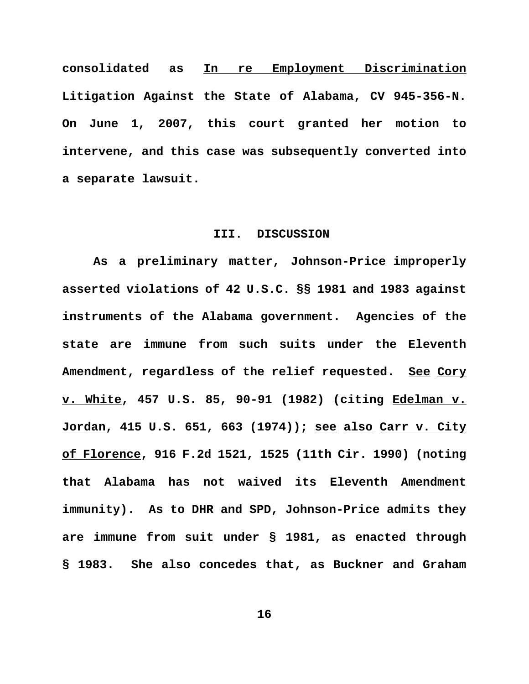**consolidated as In re Employment Discrimination Litigation Against the State of Alabama, CV 945-356-N. On June 1, 2007, this court granted her motion to intervene, and this case was subsequently converted into a separate lawsuit.**

### **III. DISCUSSION**

 **As a preliminary matter, Johnson-Price improperly asserted violations of 42 U.S.C. §§ 1981 and 1983 against instruments of the Alabama government. Agencies of the state are immune from such suits under the Eleventh Amendment, regardless of the relief requested. See Cory v. White, 457 U.S. 85, 90-91 (1982) (citing Edelman v. Jordan, 415 U.S. 651, 663 (1974)); see also Carr v. City of Florence, 916 F.2d 1521, 1525 (11th Cir. 1990) (noting that Alabama has not waived its Eleventh Amendment immunity). As to DHR and SPD, Johnson-Price admits they are immune from suit under § 1981, as enacted through § 1983. She also concedes that, as Buckner and Graham**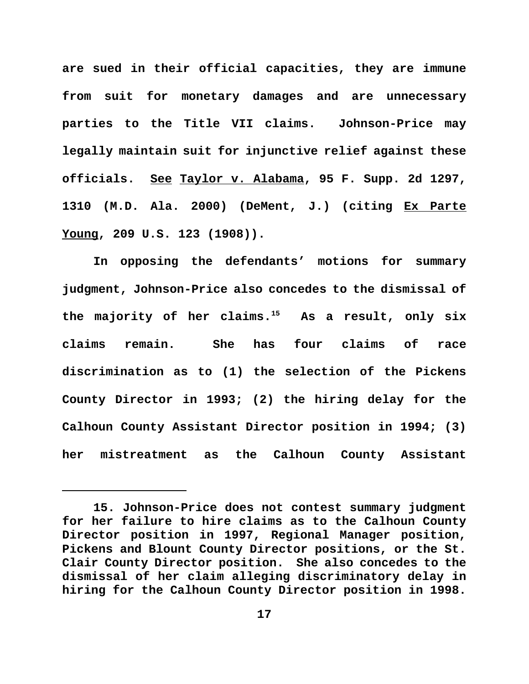**are sued in their official capacities, they are immune from suit for monetary damages and are unnecessary parties to the Title VII claims. Johnson-Price may legally maintain suit for injunctive relief against these officials. See Taylor v. Alabama, 95 F. Supp. 2d 1297, 1310 (M.D. Ala. 2000) (DeMent, J.) (citing Ex Parte Young, 209 U.S. 123 (1908)).** 

**In opposing the defendants' motions for summary judgment, Johnson-Price also concedes to the dismissal of the majority of her claims.<sup>15</sup> As a result, only six claims remain. She has four claims of race discrimination as to (1) the selection of the Pickens County Director in 1993; (2) the hiring delay for the Calhoun County Assistant Director position in 1994; (3) her mistreatment as the Calhoun County Assistant**

**<sup>15.</sup> Johnson-Price does not contest summary judgment for her failure to hire claims as to the Calhoun County Director position in 1997, Regional Manager position, Pickens and Blount County Director positions, or the St. Clair County Director position. She also concedes to the dismissal of her claim alleging discriminatory delay in hiring for the Calhoun County Director position in 1998.**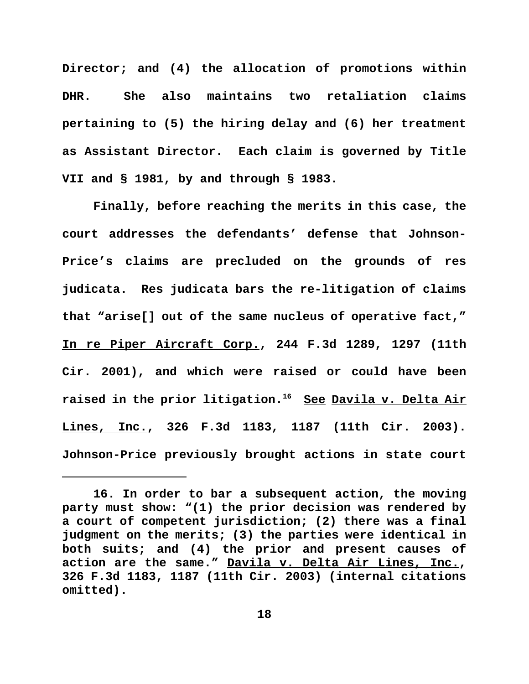**Director; and (4) the allocation of promotions within DHR. She also maintains two retaliation claims pertaining to (5) the hiring delay and (6) her treatment as Assistant Director. Each claim is governed by Title VII and § 1981, by and through § 1983.** 

**Finally, before reaching the merits in this case, the court addresses the defendants' defense that Johnson-Price's claims are precluded on the grounds of res judicata. Res judicata bars the re-litigation of claims that "arise[] out of the same nucleus of operative fact," In re Piper Aircraft Corp., 244 F.3d 1289, 1297 (11th Cir. 2001), and which were raised or could have been raised in the prior litigation.<sup>16</sup> See Davila v. Delta Air Lines, Inc., 326 F.3d 1183, 1187 (11th Cir. 2003). Johnson-Price previously brought actions in state court**

**<sup>16.</sup> In order to bar a subsequent action, the moving party must show: "(1) the prior decision was rendered by a court of competent jurisdiction; (2) there was a final judgment on the merits; (3) the parties were identical in both suits; and (4) the prior and present causes of action are the same." Davila v. Delta Air Lines, Inc., 326 F.3d 1183, 1187 (11th Cir. 2003) (internal citations omitted).**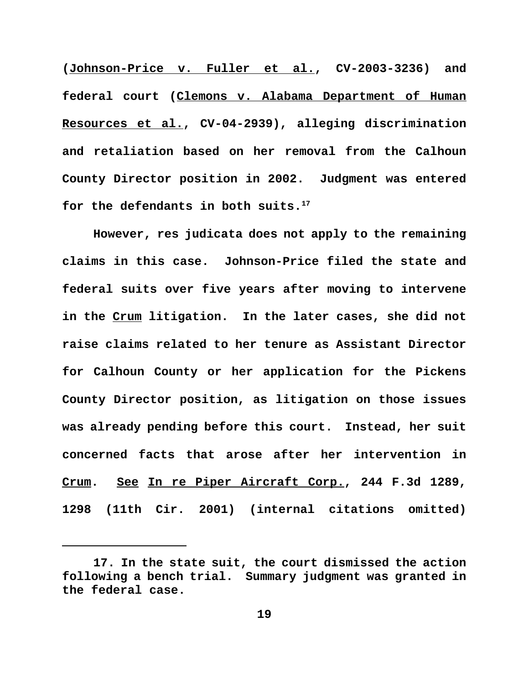**(Johnson-Price v. Fuller et al., CV-2003-3236) and federal court (Clemons v. Alabama Department of Human Resources et al., CV-04-2939), alleging discrimination and retaliation based on her removal from the Calhoun County Director position in 2002. Judgment was entered for the defendants in both suits.<sup>17</sup>** 

**However, res judicata does not apply to the remaining claims in this case. Johnson-Price filed the state and federal suits over five years after moving to intervene in the Crum litigation. In the later cases, she did not raise claims related to her tenure as Assistant Director for Calhoun County or her application for the Pickens County Director position, as litigation on those issues was already pending before this court. Instead, her suit concerned facts that arose after her intervention in Crum. See In re Piper Aircraft Corp., 244 F.3d 1289, 1298 (11th Cir. 2001) (internal citations omitted)**

**<sup>17.</sup> In the state suit, the court dismissed the action following a bench trial. Summary judgment was granted in the federal case.**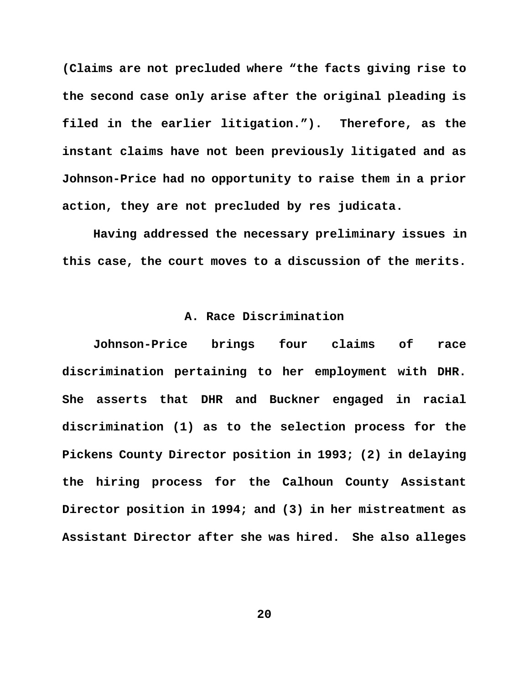**(Claims are not precluded where "the facts giving rise to the second case only arise after the original pleading is filed in the earlier litigation."). Therefore, as the instant claims have not been previously litigated and as Johnson-Price had no opportunity to raise them in a prior action, they are not precluded by res judicata.**

 **Having addressed the necessary preliminary issues in this case, the court moves to a discussion of the merits.**

# **A. Race Discrimination**

**Johnson-Price brings four claims of race discrimination pertaining to her employment with DHR. She asserts that DHR and Buckner engaged in racial discrimination (1) as to the selection process for the Pickens County Director position in 1993; (2) in delaying the hiring process for the Calhoun County Assistant Director position in 1994; and (3) in her mistreatment as Assistant Director after she was hired. She also alleges**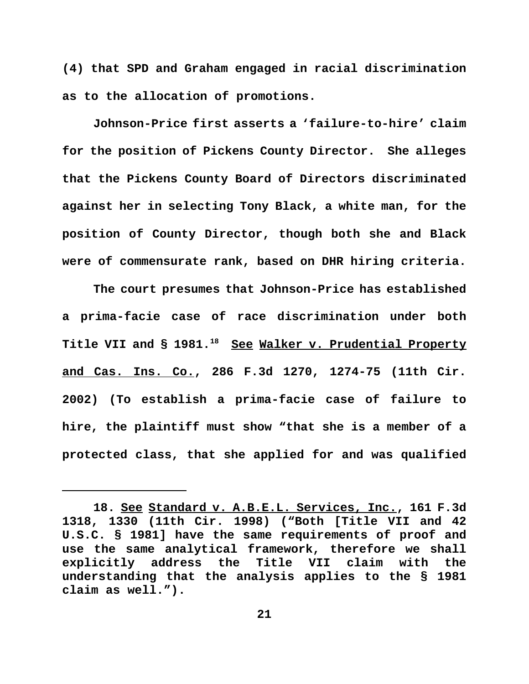**(4) that SPD and Graham engaged in racial discrimination as to the allocation of promotions.** 

**Johnson-Price first asserts a 'failure-to-hire' claim for the position of Pickens County Director. She alleges that the Pickens County Board of Directors discriminated against her in selecting Tony Black, a white man, for the position of County Director, though both she and Black were of commensurate rank, based on DHR hiring criteria.**

**The court presumes that Johnson-Price has established a prima-facie case of race discrimination under both Title VII and § 1981.<sup>18</sup> See Walker v. Prudential Property and Cas. Ins. Co., 286 F.3d 1270, 1274-75 (11th Cir. 2002) (To establish a prima-facie case of failure to hire, the plaintiff must show "that she is a member of a protected class, that she applied for and was qualified**

**<sup>18.</sup> See Standard v. A.B.E.L. Services, Inc., 161 F.3d 1318, 1330 (11th Cir. 1998) ("Both [Title VII and 42 U.S.C. § 1981] have the same requirements of proof and use the same analytical framework, therefore we shall explicitly address the Title VII claim with the understanding that the analysis applies to the § 1981 claim as well.").**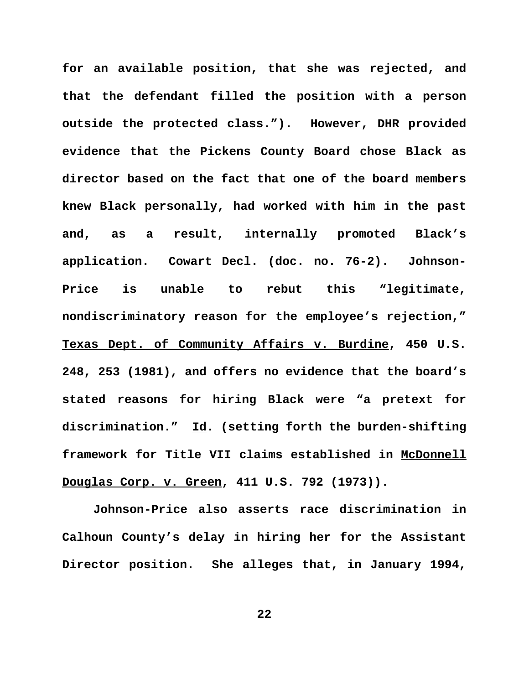**for an available position, that she was rejected, and that the defendant filled the position with a person outside the protected class."). However, DHR provided evidence that the Pickens County Board chose Black as director based on the fact that one of the board members knew Black personally, had worked with him in the past and, as a result, internally promoted Black's application. Cowart Decl. (doc. no. 76-2). Johnson-Price is unable to rebut this "legitimate, nondiscriminatory reason for the employee's rejection," Texas Dept. of Community Affairs v. Burdine, 450 U.S. 248, 253 (1981), and offers no evidence that the board's stated reasons for hiring Black were "a pretext for discrimination." Id. (setting forth the burden-shifting framework for Title VII claims established in McDonnell Douglas Corp. v. Green, 411 U.S. 792 (1973)).**

**Johnson-Price also asserts race discrimination in Calhoun County's delay in hiring her for the Assistant Director position. She alleges that, in January 1994,**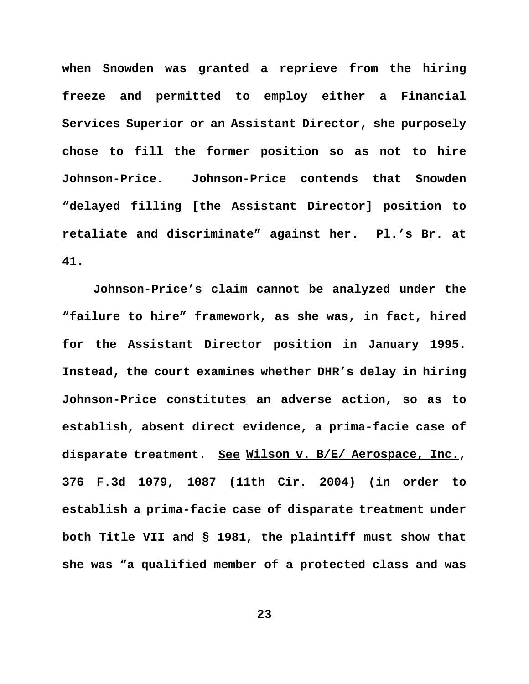**when Snowden was granted a reprieve from the hiring freeze and permitted to employ either a Financial Services Superior or an Assistant Director, she purposely chose to fill the former position so as not to hire Johnson-Price. Johnson-Price contends that Snowden "delayed filling [the Assistant Director] position to retaliate and discriminate" against her. Pl.'s Br. at 41.** 

**Johnson-Price's claim cannot be analyzed under the "failure to hire" framework, as she was, in fact, hired for the Assistant Director position in January 1995. Instead, the court examines whether DHR's delay in hiring Johnson-Price constitutes an adverse action, so as to establish, absent direct evidence, a prima-facie case of disparate treatment. See Wilson v. B/E/ Aerospace, Inc., 376 F.3d 1079, 1087 (11th Cir. 2004) (in order to establish a prima-facie case of disparate treatment under both Title VII and § 1981, the plaintiff must show that she was "a qualified member of a protected class and was**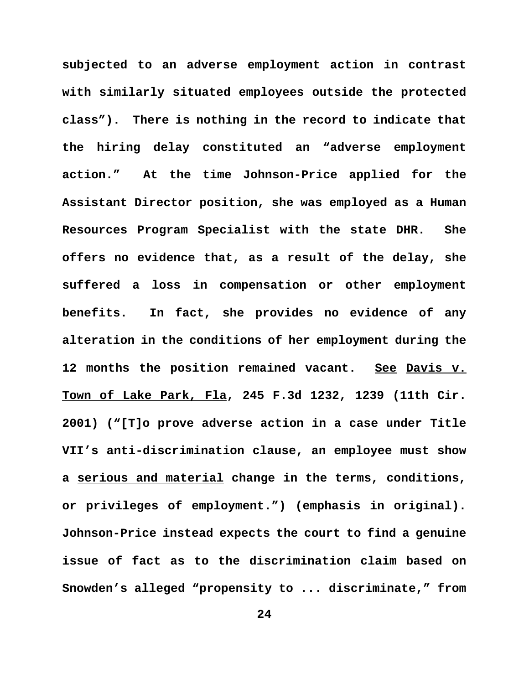**subjected to an adverse employment action in contrast with similarly situated employees outside the protected class"). There is nothing in the record to indicate that the hiring delay constituted an "adverse employment action." At the time Johnson-Price applied for the Assistant Director position, she was employed as a Human Resources Program Specialist with the state DHR. She offers no evidence that, as a result of the delay, she suffered a loss in compensation or other employment benefits. In fact, she provides no evidence of any alteration in the conditions of her employment during the 12 months the position remained vacant. See Davis v. Town of Lake Park, Fla, 245 F.3d 1232, 1239 (11th Cir. 2001) ("[T]o prove adverse action in a case under Title VII's anti-discrimination clause, an employee must show a serious and material change in the terms, conditions, or privileges of employment.") (emphasis in original). Johnson-Price instead expects the court to find a genuine issue of fact as to the discrimination claim based on Snowden's alleged "propensity to ... discriminate," from**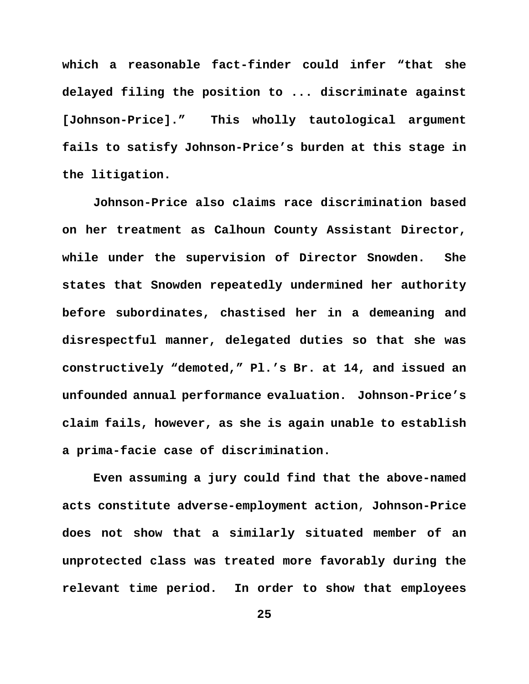**which a reasonable fact-finder could infer "that she delayed filing the position to ... discriminate against [Johnson-Price]." This wholly tautological argument fails to satisfy Johnson-Price's burden at this stage in the litigation.** 

**Johnson-Price also claims race discrimination based on her treatment as Calhoun County Assistant Director, while under the supervision of Director Snowden. She states that Snowden repeatedly undermined her authority before subordinates, chastised her in a demeaning and disrespectful manner, delegated duties so that she was constructively "demoted," Pl.'s Br. at 14, and issued an unfounded annual performance evaluation. Johnson-Price's claim fails, however, as she is again unable to establish a prima-facie case of discrimination.**

**Even assuming a jury could find that the above-named acts constitute adverse-employment action**, **Johnson-Price does not show that a similarly situated member of an unprotected class was treated more favorably during the relevant time period. In order to show that employees**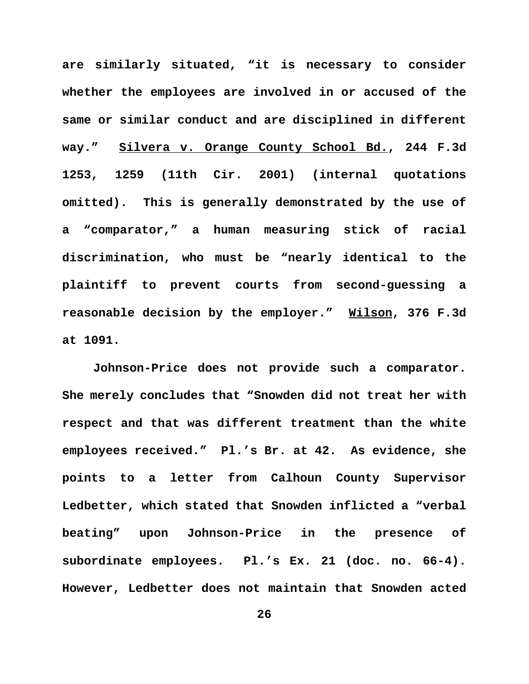**are similarly situated, "it is necessary to consider whether the employees are involved in or accused of the same or similar conduct and are disciplined in different way." Silvera v. Orange County School Bd., 244 F.3d 1253, 1259 (11th Cir. 2001) (internal quotations omitted). This is generally demonstrated by the use of a "comparator," a human measuring stick of racial discrimination, who must be "nearly identical to the plaintiff to prevent courts from second-guessing a reasonable decision by the employer." Wilson, 376 F.3d at 1091.**

**Johnson-Price does not provide such a comparator. She merely concludes that "Snowden did not treat her with respect and that was different treatment than the white employees received." Pl.'s Br. at 42. As evidence, she points to a letter from Calhoun County Supervisor Ledbetter, which stated that Snowden inflicted a "verbal beating" upon Johnson-Price in the presence of subordinate employees. Pl.'s Ex. 21 (doc. no. 66-4). However, Ledbetter does not maintain that Snowden acted**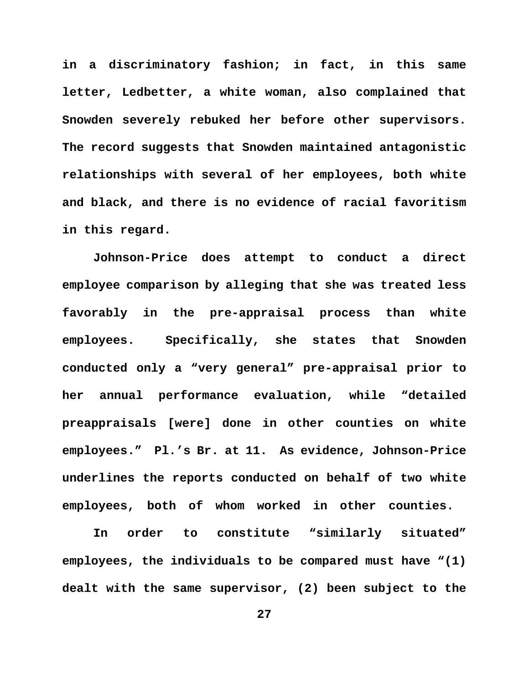**in a discriminatory fashion; in fact, in this same letter, Ledbetter, a white woman, also complained that Snowden severely rebuked her before other supervisors. The record suggests that Snowden maintained antagonistic relationships with several of her employees, both white and black, and there is no evidence of racial favoritism in this regard.** 

**Johnson-Price does attempt to conduct a direct employee comparison by alleging that she was treated less favorably in the pre-appraisal process than white employees. Specifically, she states that Snowden conducted only a "very general" pre-appraisal prior to her annual performance evaluation, while "detailed preappraisals [were] done in other counties on white employees." Pl.'s Br. at 11. As evidence, Johnson-Price underlines the reports conducted on behalf of two white employees, both of whom worked in other counties.** 

**In order to constitute "similarly situated" employees, the individuals to be compared must have "(1) dealt with the same supervisor, (2) been subject to the**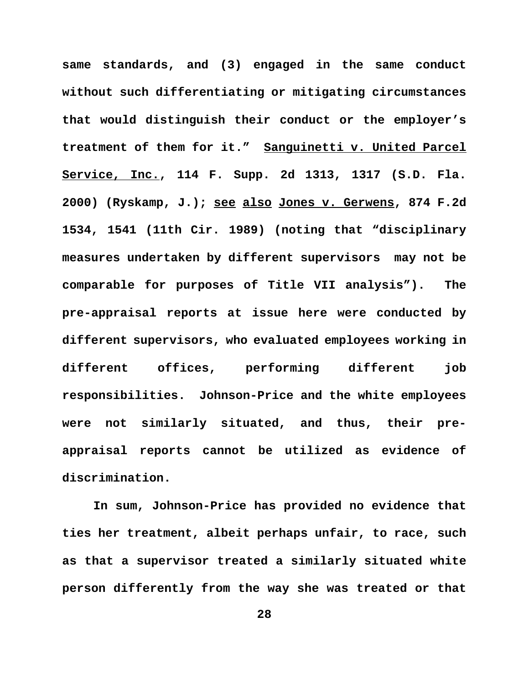**same standards, and (3) engaged in the same conduct without such differentiating or mitigating circumstances that would distinguish their conduct or the employer's treatment of them for it." Sanguinetti v. United Parcel Service, Inc., 114 F. Supp. 2d 1313, 1317 (S.D. Fla. 2000) (Ryskamp, J.); see also Jones v. Gerwens, 874 F.2d 1534, 1541 (11th Cir. 1989) (noting that "disciplinary measures undertaken by different supervisors may not be comparable for purposes of Title VII analysis"). The pre-appraisal reports at issue here were conducted by different supervisors, who evaluated employees working in different offices, performing different job responsibilities. Johnson-Price and the white employees were not similarly situated, and thus, their preappraisal reports cannot be utilized as evidence of discrimination.**

**In sum, Johnson-Price has provided no evidence that ties her treatment, albeit perhaps unfair, to race, such as that a supervisor treated a similarly situated white person differently from the way she was treated or that**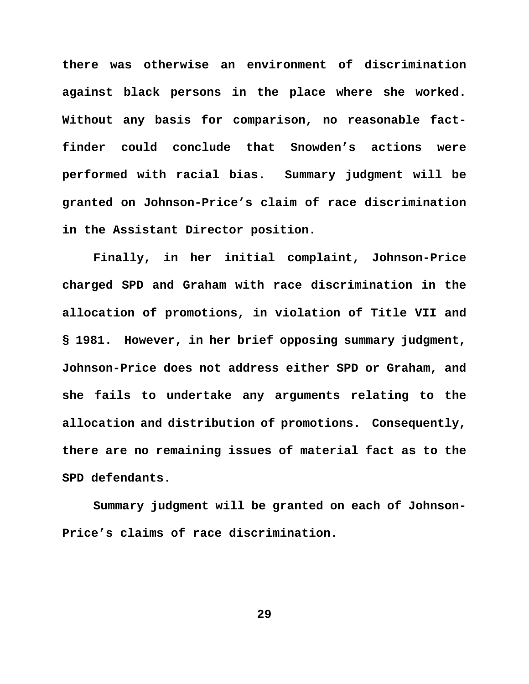**there was otherwise an environment of discrimination against black persons in the place where she worked. Without any basis for comparison, no reasonable factfinder could conclude that Snowden's actions were performed with racial bias. Summary judgment will be granted on Johnson-Price's claim of race discrimination in the Assistant Director position.** 

**Finally, in her initial complaint, Johnson-Price charged SPD and Graham with race discrimination in the allocation of promotions, in violation of Title VII and § 1981. However, in her brief opposing summary judgment, Johnson-Price does not address either SPD or Graham, and she fails to undertake any arguments relating to the allocation and distribution of promotions. Consequently, there are no remaining issues of material fact as to the SPD defendants.**

**Summary judgment will be granted on each of Johnson-Price's claims of race discrimination.**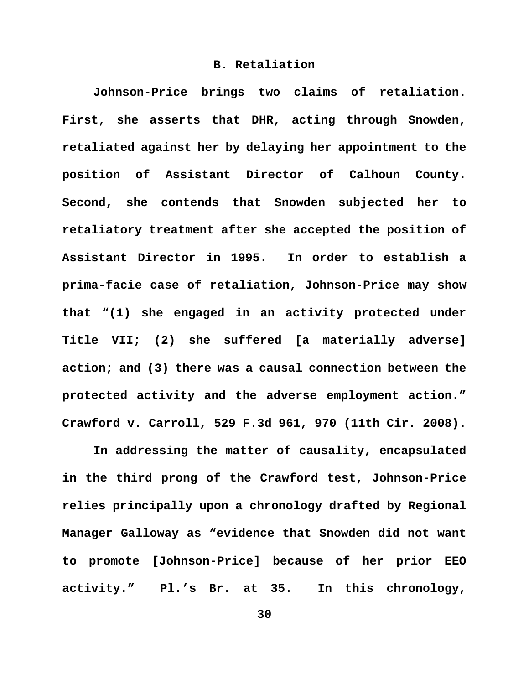### **B. Retaliation**

**Johnson-Price brings two claims of retaliation. First, she asserts that DHR, acting through Snowden, retaliated against her by delaying her appointment to the position of Assistant Director of Calhoun County. Second, she contends that Snowden subjected her to retaliatory treatment after she accepted the position of Assistant Director in 1995. In order to establish a prima-facie case of retaliation, Johnson-Price may show that "(1) she engaged in an activity protected under Title VII; (2) she suffered [a materially adverse] action; and (3) there was a causal connection between the protected activity and the adverse employment action." Crawford v. Carroll, 529 F.3d 961, 970 (11th Cir. 2008).**

**In addressing the matter of causality, encapsulated in the third prong of the Crawford test, Johnson-Price relies principally upon a chronology drafted by Regional Manager Galloway as "evidence that Snowden did not want to promote [Johnson-Price] because of her prior EEO activity." Pl.'s Br. at 35. In this chronology,**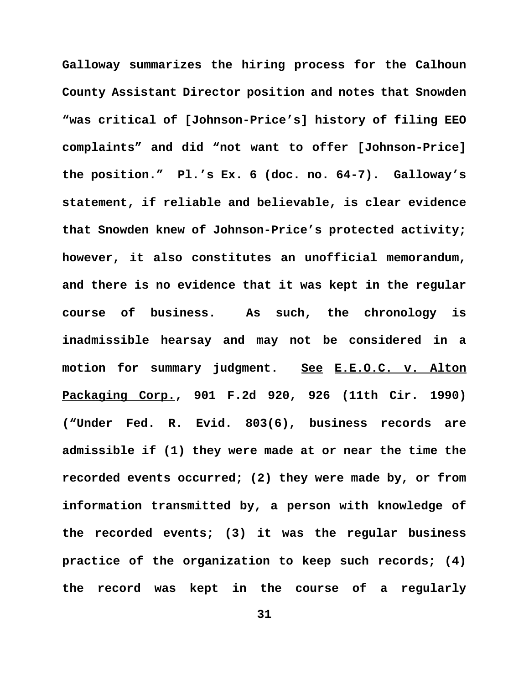**Galloway summarizes the hiring process for the Calhoun County Assistant Director position and notes that Snowden "was critical of [Johnson-Price's] history of filing EEO complaints" and did "not want to offer [Johnson-Price] the position." Pl.'s Ex. 6 (doc. no. 64-7). Galloway's statement, if reliable and believable, is clear evidence that Snowden knew of Johnson-Price's protected activity; however, it also constitutes an unofficial memorandum, and there is no evidence that it was kept in the regular course of business. As such, the chronology is inadmissible hearsay and may not be considered in a motion for summary judgment. See E.E.O.C. v. Alton Packaging Corp., 901 F.2d 920, 926 (11th Cir. 1990) ("Under Fed. R. Evid. 803(6), business records are admissible if (1) they were made at or near the time the recorded events occurred; (2) they were made by, or from information transmitted by, a person with knowledge of the recorded events; (3) it was the regular business practice of the organization to keep such records; (4) the record was kept in the course of a regularly**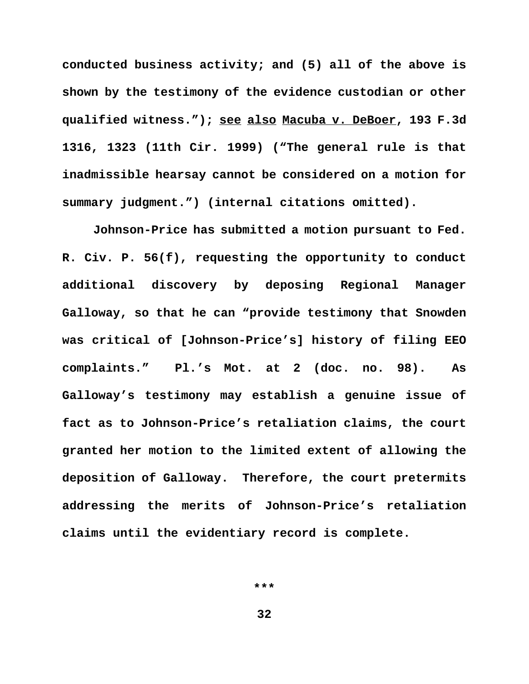**conducted business activity; and (5) all of the above is shown by the testimony of the evidence custodian or other qualified witness."); see also Macuba v. DeBoer, 193 F.3d 1316, 1323 (11th Cir. 1999) ("The general rule is that inadmissible hearsay cannot be considered on a motion for summary judgment.") (internal citations omitted).**

**Johnson-Price has submitted a motion pursuant to Fed. R. Civ. P. 56(f), requesting the opportunity to conduct additional discovery by deposing Regional Manager Galloway, so that he can "provide testimony that Snowden was critical of [Johnson-Price's] history of filing EEO complaints." Pl.'s Mot. at 2 (doc. no. 98). As Galloway's testimony may establish a genuine issue of fact as to Johnson-Price's retaliation claims, the court granted her motion to the limited extent of allowing the deposition of Galloway. Therefore, the court pretermits addressing the merits of Johnson-Price's retaliation claims until the evidentiary record is complete.**

**\*\*\***